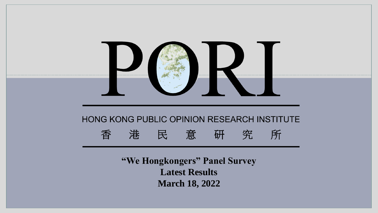

**Latest Results March 18, 2022**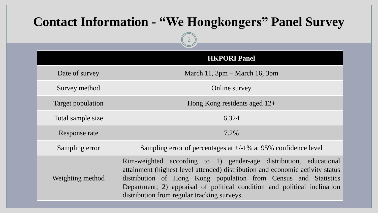# **Contact Information - "We Hongkongers" Panel Survey**

2

|                          | <b>HKPORI Panel</b>                                                                                                                                                                                                                                                                                                                               |
|--------------------------|---------------------------------------------------------------------------------------------------------------------------------------------------------------------------------------------------------------------------------------------------------------------------------------------------------------------------------------------------|
| Date of survey           | March 11, $3pm - March 16$ , $3pm$                                                                                                                                                                                                                                                                                                                |
| Survey method            | Online survey                                                                                                                                                                                                                                                                                                                                     |
| <b>Target population</b> | Hong Kong residents aged $12+$                                                                                                                                                                                                                                                                                                                    |
| Total sample size        | 6,324                                                                                                                                                                                                                                                                                                                                             |
| Response rate            | 7.2%                                                                                                                                                                                                                                                                                                                                              |
| Sampling error           | Sampling error of percentages at $+/-1\%$ at 95% confidence level                                                                                                                                                                                                                                                                                 |
| Weighting method         | Rim-weighted according to 1) gender-age distribution, educational<br>attainment (highest level attended) distribution and economic activity status<br>distribution of Hong Kong population from Census and Statistics<br>Department; 2) appraisal of political condition and political inclination<br>distribution from regular tracking surveys. |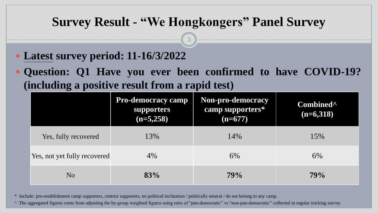3

- **Latest survey period: 11-16/3/2022**
- **Question: Q1 Have you ever been confirmed to have COVID-19? (including a positive result from a rapid test)**

|                              | <b>Pro-democracy camp</b><br><b>supporters</b><br>$(n=5,258)$ | Non-pro-democracy<br>camp supporters*<br>$(n=677)$ | Combined <sup>^</sup><br>$(n=6,318)$ |
|------------------------------|---------------------------------------------------------------|----------------------------------------------------|--------------------------------------|
| Yes, fully recovered         | 13%                                                           | 14%                                                | 15%                                  |
| Yes, not yet fully recovered | $4\%$                                                         | 6%                                                 | 6%                                   |
| N <sub>O</sub>               | 83%                                                           | 79%                                                | 79%                                  |

\* Include: pro-establishment camp supporters, centrist supporters, no political inclination / politically neutral / do not belong to any camp.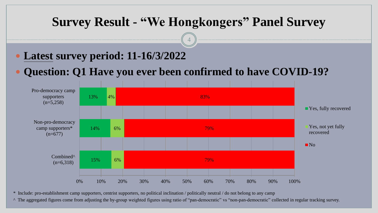4

- **Latest survey period: 11-16/3/2022**
- **Question: Q1 Have you ever been confirmed to have COVID-19?**



\* Include: pro-establishment camp supporters, centrist supporters, no political inclination / politically neutral / do not belong to any camp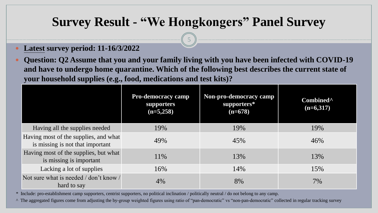5

- **Latest survey period: 11-16/3/2022**
- **Question: Q2 Assume that you and your family living with you have been infected with COVID-19 and have to undergo home quarantine. Which of the following best describes the current state of your household supplies (e.g., food, medications and test kits)?**

|                                                                           | <b>Pro-democracy camp</b><br>supporters<br>$(n=5,258)$ | Non-pro-democracy camp<br>supporters*<br>$(n=678)$ | Combined <sup>^</sup><br>$(n=6,317)$ |
|---------------------------------------------------------------------------|--------------------------------------------------------|----------------------------------------------------|--------------------------------------|
| Having all the supplies needed                                            | 19%                                                    | 19%                                                | 19%                                  |
| Having most of the supplies, and what<br>is missing is not that important | 49%                                                    | 45%                                                | 46%                                  |
| Having most of the supplies, but what<br>is missing is important          | 11\%                                                   | 13%                                                | 13%                                  |
| Lacking a lot of supplies                                                 | 16%                                                    | 14%                                                | 15%                                  |
| Not sure what is needed / don't know /<br>hard to say                     | 4%                                                     | 8%                                                 | 7%                                   |

\* Include: pro-establishment camp supporters, centrist supporters, no political inclination / politically neutral / do not belong to any camp.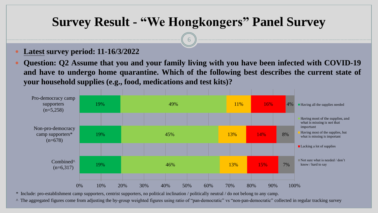$\theta$ 

**Latest survey period: 11-16/3/2022**

 **Question: Q2 Assume that you and your family living with you have been infected with COVID-19 and have to undergo home quarantine. Which of the following best describes the current state of your household supplies (e.g., food, medications and test kits)?**



\* Include: pro-establishment camp supporters, centrist supporters, no political inclination / politically neutral / do not belong to any camp.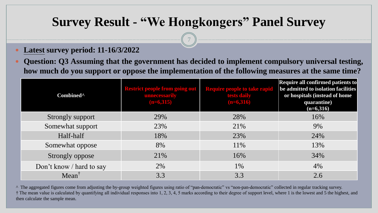7

- **Latest survey period: 11-16/3/2022**
- **Question: Q3 Assuming that the government has decided to implement compulsory universal testing, how much do you support or oppose the implementation of the following measures at the same time?**

| Combined <sup>^</sup>    | <b>Restrict people from going out</b><br>unnecessarily<br>$(n=6,315)$ | <b>Require people to take rapid</b><br>tests daily<br>$(n=6,316)$ | Require all confirmed patients to<br>be admitted to isolation facilities<br>or hospitals (instead of home<br>quarantine)<br>$(n=6,316)$ |
|--------------------------|-----------------------------------------------------------------------|-------------------------------------------------------------------|-----------------------------------------------------------------------------------------------------------------------------------------|
| Strongly support         | 29%                                                                   | 28%                                                               | 16%                                                                                                                                     |
| Somewhat support         | 23%                                                                   | 21%                                                               | 9%                                                                                                                                      |
| Half-half                | 18%                                                                   | 23%                                                               | 24%                                                                                                                                     |
| Somewhat oppose          | 8%                                                                    | 11%                                                               | 13%                                                                                                                                     |
| Strongly oppose          | 21%                                                                   | 16%                                                               | 34%                                                                                                                                     |
| Don't know / hard to say | 2%                                                                    | 1%                                                                | 4%                                                                                                                                      |
| $Mean^{\dagger}$         | 3.3                                                                   | 3.3                                                               | 2.6                                                                                                                                     |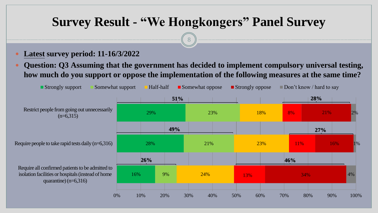8

- **Latest survey period: 11-16/3/2022**
- **Question: Q3 Assuming that the government has decided to implement compulsory universal testing, how much do you support or oppose the implementation of the following measures at the same time?**

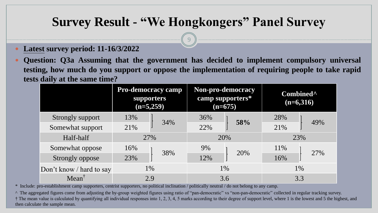9

- **Latest survey period: 11-16/3/2022**
- **Question: Q3a Assuming that the government has decided to implement compulsory universal testing, how much do you support or oppose the implementation of requiring people to take rapid tests daily at the same time?**

|                          | <b>Pro-democracy camp</b><br>supporters<br>$(n=5,259)$ |     | Non-pro-democracy<br>camp supporters*<br>$(n=675)$ |     | Combined <sup>^</sup><br>$(n=6,316)$ |     |
|--------------------------|--------------------------------------------------------|-----|----------------------------------------------------|-----|--------------------------------------|-----|
| Strongly support         | 13%                                                    |     | 36%                                                | 58% | 28%                                  | 49% |
| Somewhat support         | 21%                                                    | 34% | 22%                                                |     | 21%                                  |     |
| Half-half                | 27%                                                    |     | 20%                                                |     | 23%                                  |     |
| Somewhat oppose          | 16%                                                    | 38% | 9%                                                 | 20% | 11\%                                 | 27% |
| Strongly oppose          | 23%                                                    |     | 12%                                                |     | 16%                                  |     |
| Don't know / hard to say | 1%                                                     |     | 1\%                                                |     |                                      | 1%  |
| $Mean^{\dagger}$         | 2.9                                                    |     | 3.6                                                |     | 3.3                                  |     |

\* Include: pro-establishment camp supporters, centrist supporters, no political inclination / politically neutral / do not belong to any camp.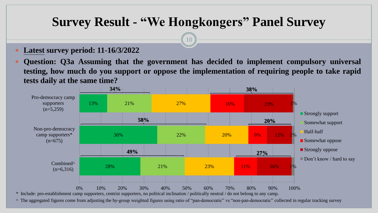10

- **Latest survey period: 11-16/3/2022**
- **Question: Q3a Assuming that the government has decided to implement compulsory universal testing, how much do you support or oppose the implementation of requiring people to take rapid tests daily at the same time?**

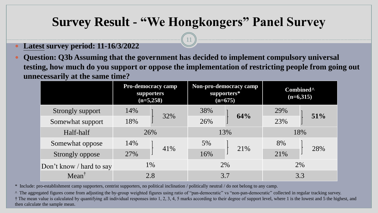11

- **Latest survey period: 11-16/3/2022**
- **Question: Q3b Assuming that the government has decided to implement compulsory universal testing, how much do you support or oppose the implementation of restricting people from going out unnecessarily at the same time?**

|                          | <b>Pro-democracy camp</b><br><b>supporters</b><br>$(n=5,258)$ |     | Non-pro-democracy camp<br>supporters*<br>$(n=675)$ |     | Combined <sup>^</sup><br>$(n=6,315)$ |     |
|--------------------------|---------------------------------------------------------------|-----|----------------------------------------------------|-----|--------------------------------------|-----|
| Strongly support         | 14%                                                           |     | 38%                                                | 64% | 29%                                  | 51% |
| Somewhat support         | 18%                                                           | 32% | 26%                                                |     | 23%                                  |     |
| Half-half                | 26%                                                           |     | 13%                                                |     | 18%                                  |     |
| Somewhat oppose          | 14%                                                           |     | 5%                                                 | 21% | 8%                                   | 28% |
| Strongly oppose          | 27%                                                           | 41% | 16%                                                |     | 21%                                  |     |
| Don't know / hard to say | 1\%                                                           |     | 2%                                                 |     | 2%                                   |     |
| $Mean^{\dagger}$         |                                                               | 2.8 | 3.7                                                |     | 3.3                                  |     |

\* Include: pro-establishment camp supporters, centrist supporters, no political inclination / politically neutral / do not belong to any camp.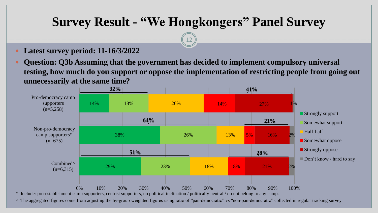12

- **Latest survey period: 11-16/3/2022**
- **Question: Q3b Assuming that the government has decided to implement compulsory universal testing, how much do you support or oppose the implementation of restricting people from going out unnecessarily at the same time?**

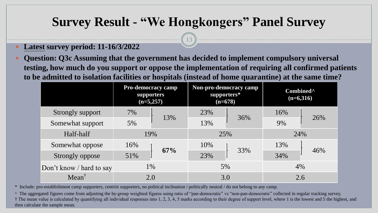13

- **Latest survey period: 11-16/3/2022**
- **Question: Q3c Assuming that the government has decided to implement compulsory universal testing, how much do you support or oppose the implementation of requiring all confirmed patients to be admitted to isolation facilities or hospitals (instead of home quarantine) at the same time?**

|                          | <b>Pro-democracy camp</b><br><b>supporters</b><br>$(n=5,257)$ |     | Non-pro-democracy camp<br>supporters*<br>$(n=678)$ |     | Combined <sup>^</sup><br>$(n=6,316)$ |     |
|--------------------------|---------------------------------------------------------------|-----|----------------------------------------------------|-----|--------------------------------------|-----|
| Strongly support         | 7%                                                            |     | 23%                                                | 36% | 16%                                  | 26% |
| Somewhat support         | 5%                                                            | 13% | 13%                                                |     | 9%                                   |     |
| Half-half                | 19%                                                           |     | 25%                                                |     | 24%                                  |     |
| Somewhat oppose          | 16%                                                           |     | 10%                                                | 33% | 13%                                  | 46% |
| Strongly oppose          | 51%                                                           | 67% | 23%                                                |     | 34%                                  |     |
| Don't know / hard to say | 1%                                                            |     | 5%                                                 |     | 4%                                   |     |
| $Mean^{\dagger}$         | 2.0                                                           |     | 3.0                                                |     | 2.6                                  |     |

\* Include: pro-establishment camp supporters, centrist supporters, no political inclination / politically neutral / do not belong to any camp.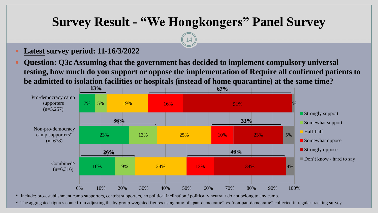14

- **Latest survey period: 11-16/3/2022**
- **Question: Q3c Assuming that the government has decided to implement compulsory universal testing, how much do you support or oppose the implementation of Require all confirmed patients to be admitted to isolation facilities or hospitals (instead of home quarantine) at the same time?**



\* Include: pro-establishment camp supporters, centrist supporters, no political inclination / politically neutral / do not belong to any camp.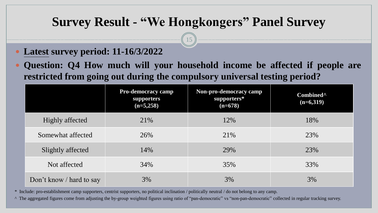15

- **Latest survey period: 11-16/3/2022**
- **Question: Q4 How much will your household income be affected if people are restricted from going out during the compulsory universal testing period?**

|                          | <b>Pro-democracy camp</b><br>supporters<br>$(n=5,258)$ | Non-pro-democracy camp<br>supporters*<br>$(n=678)$ | Combined <sup>^</sup><br>$(n=6,319)$ |
|--------------------------|--------------------------------------------------------|----------------------------------------------------|--------------------------------------|
| Highly affected          | 21%                                                    | 12%                                                | 18%                                  |
| Somewhat affected        | 26%                                                    | 21%                                                | 23%                                  |
| Slightly affected        | 14%                                                    | 29%                                                | 23%                                  |
| Not affected             | 34%                                                    | 35%                                                | 33%                                  |
| Don't know / hard to say | 3%                                                     | 3%                                                 | 3%                                   |

\* Include: pro-establishment camp supporters, centrist supporters, no political inclination / politically neutral / do not belong to any camp.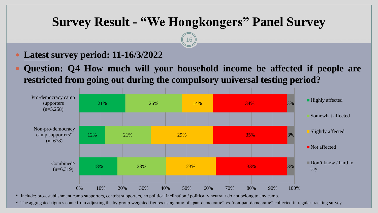16

- **Latest survey period: 11-16/3/2022**
- **Question: Q4 How much will your household income be affected if people are restricted from going out during the compulsory universal testing period?**



\* Include: pro-establishment camp supporters, centrist supporters, no political inclination / politically neutral / do not belong to any camp.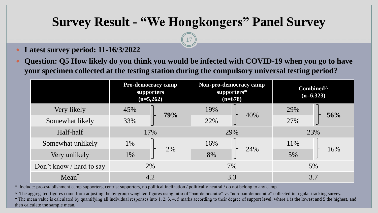17

- **Latest survey period: 11-16/3/2022**
- **Question: Q5 How likely do you think you would be infected with COVID-19 when you go to have your specimen collected at the testing station during the compulsory universal testing period?**

|                          | <b>Pro-democracy camp</b><br><b>supporters</b><br>$(n=5,262)$ |     | Non-pro-democracy camp<br>supporters*<br>$(n=678)$ |     | Combined <sup>^</sup><br>$(n=6,323)$ |     |
|--------------------------|---------------------------------------------------------------|-----|----------------------------------------------------|-----|--------------------------------------|-----|
| Very likely              | 45%                                                           | 79% | 19%                                                | 40% | 29%                                  | 56% |
| Somewhat likely          | 33%                                                           |     | 22%                                                |     | 27%                                  |     |
| Half-half                | 17%                                                           |     | 29%                                                |     | 23%                                  |     |
| Somewhat unlikely        | $1\%$                                                         | 2%  | 16%                                                | 24% | 11%                                  | 16% |
| Very unlikely            | 1%                                                            |     | 8%                                                 |     | 5%                                   |     |
| Don't know / hard to say | 2%                                                            |     | 7%                                                 |     | 5%                                   |     |
| $Mean^{\dagger}$         |                                                               | 4.2 | 3.3                                                |     | 3.7                                  |     |

\* Include: pro-establishment camp supporters, centrist supporters, no political inclination / politically neutral / do not belong to any camp.